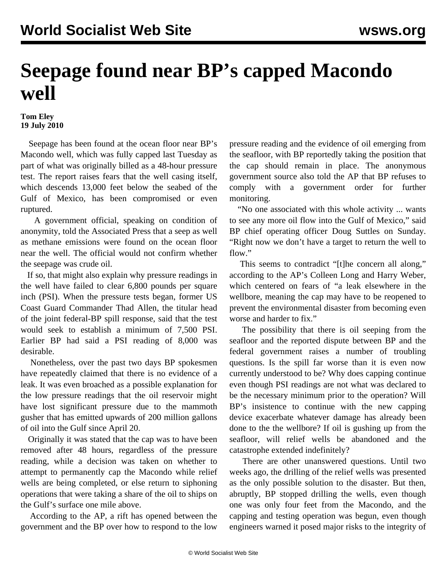## **Seepage found near BP's capped Macondo well**

## **Tom Eley 19 July 2010**

 Seepage has been found at the ocean floor near BP's Macondo well, which was fully capped last Tuesday as part of what was originally billed as a 48-hour pressure test. The report raises fears that the well casing itself, which descends 13,000 feet below the seabed of the Gulf of Mexico, has been compromised or even ruptured.

 A government official, speaking on condition of anonymity, told the Associated Press that a seep as well as methane emissions were found on the ocean floor near the well. The official would not confirm whether the seepage was crude oil.

 If so, that might also explain why pressure readings in the well have failed to clear 6,800 pounds per square inch (PSI). When the pressure tests began, former US Coast Guard Commander Thad Allen, the titular head of the joint federal-BP spill response, said that the test would seek to establish a minimum of 7,500 PSI. Earlier BP had said a PSI reading of 8,000 was desirable.

 Nonetheless, over the past two days BP spokesmen have repeatedly claimed that there is no evidence of a leak. It was even broached as a possible explanation for the low pressure readings that the oil reservoir might have lost significant pressure due to the mammoth gusher that has emitted upwards of 200 million gallons of oil into the Gulf since April 20.

 Originally it was stated that the cap was to have been removed after 48 hours, regardless of the pressure reading, while a decision was taken on whether to attempt to permanently cap the Macondo while relief wells are being completed, or else return to siphoning operations that were taking a share of the oil to ships on the Gulf's surface one mile above.

 According to the AP, a rift has opened between the government and the BP over how to respond to the low

pressure reading and the evidence of oil emerging from the seafloor, with BP reportedly taking the position that the cap should remain in place. The anonymous government source also told the AP that BP refuses to comply with a government order for further monitoring.

 "No one associated with this whole activity ... wants to see any more oil flow into the Gulf of Mexico," said BP chief operating officer Doug Suttles on Sunday. "Right now we don't have a target to return the well to flow."

 This seems to contradict "[t]he concern all along," according to the AP's Colleen Long and Harry Weber, which centered on fears of "a leak elsewhere in the wellbore, meaning the cap may have to be reopened to prevent the environmental disaster from becoming even worse and harder to fix."

 The possibility that there is oil seeping from the seafloor and the reported dispute between BP and the federal government raises a number of troubling questions. Is the spill far worse than it is even now currently understood to be? Why does capping continue even though PSI readings are not what was declared to be the necessary minimum prior to the operation? Will BP's insistence to continue with the new capping device exacerbate whatever damage has already been done to the the wellbore? If oil is gushing up from the seafloor, will relief wells be abandoned and the catastrophe extended indefinitely?

 There are other unanswered questions. Until two weeks ago, the drilling of the relief wells was presented as the only possible solution to the disaster. But then, abruptly, BP stopped drilling the wells, even though one was only four feet from the Macondo, and the capping and testing operation was begun, even though engineers warned it posed major risks to the integrity of